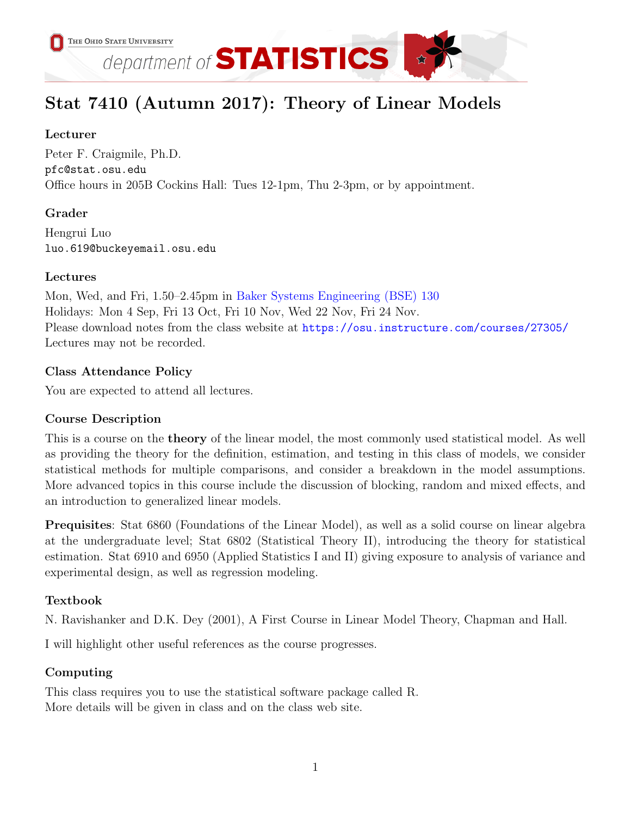

# Stat 7410 (Autumn 2017): Theory of Linear Models

# Lecturer

Peter F. Craigmile, Ph.D. pfc@stat.osu.edu Office hours in 205B Cockins Hall: Tues 12-1pm, Thu 2-3pm, or by appointment.

## Grader

Hengrui Luo luo.619@buckeyemail.osu.edu

## Lectures

Mon, Wed, and Fri, 1.50–2.45pm in [Baker Systems Engineering \(BSE\) 130](http://www.osu.edu/map/building.php?building=280) Holidays: Mon 4 Sep, Fri 13 Oct, Fri 10 Nov, Wed 22 Nov, Fri 24 Nov. Please download notes from the class website at <https://osu.instructure.com/courses/27305/> Lectures may not be recorded.

## Class Attendance Policy

You are expected to attend all lectures.

# Course Description

This is a course on the theory of the linear model, the most commonly used statistical model. As well as providing the theory for the definition, estimation, and testing in this class of models, we consider statistical methods for multiple comparisons, and consider a breakdown in the model assumptions. More advanced topics in this course include the discussion of blocking, random and mixed effects, and an introduction to generalized linear models.

Prequisites: Stat 6860 (Foundations of the Linear Model), as well as a solid course on linear algebra at the undergraduate level; Stat 6802 (Statistical Theory II), introducing the theory for statistical estimation. Stat 6910 and 6950 (Applied Statistics I and II) giving exposure to analysis of variance and experimental design, as well as regression modeling.

# Textbook

N. Ravishanker and D.K. Dey (2001), A First Course in Linear Model Theory, Chapman and Hall.

I will highlight other useful references as the course progresses.

# Computing

This class requires you to use the statistical software package called R. More details will be given in class and on the class web site.